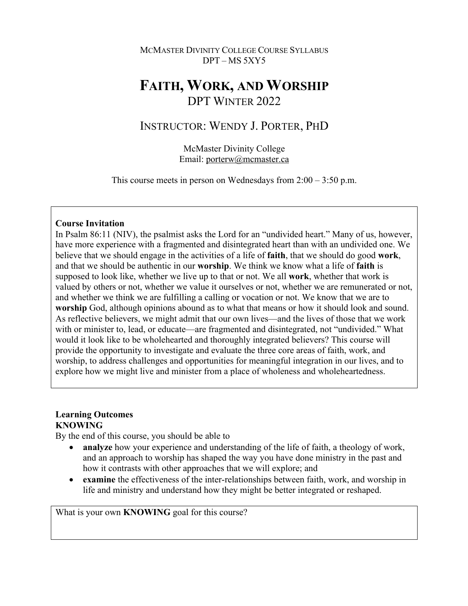### MCMASTER DIVINITY COLLEGE COURSE SYLLABUS DPT – MS 5XY5

# **FAITH, WORK, AND WORSHIP** DPT WINTER 2022

## INSTRUCTOR: WENDY J. PORTER, PHD

McMaster Divinity College Email: porterw@mcmaster.ca

This course meets in person on Wednesdays from  $2:00 - 3:50$  p.m.

### **Course Invitation**

In Psalm 86:11 (NIV), the psalmist asks the Lord for an "undivided heart." Many of us, however, have more experience with a fragmented and disintegrated heart than with an undivided one. We believe that we should engage in the activities of a life of **faith**, that we should do good **work**, and that we should be authentic in our **worship**. We think we know what a life of **faith** is supposed to look like, whether we live up to that or not. We all **work**, whether that work is valued by others or not, whether we value it ourselves or not, whether we are remunerated or not, and whether we think we are fulfilling a calling or vocation or not. We know that we are to **worship** God, although opinions abound as to what that means or how it should look and sound. As reflective believers, we might admit that our own lives—and the lives of those that we work with or minister to, lead, or educate—are fragmented and disintegrated, not "undivided." What would it look like to be wholehearted and thoroughly integrated believers? This course will provide the opportunity to investigate and evaluate the three core areas of faith, work, and worship, to address challenges and opportunities for meaningful integration in our lives, and to explore how we might live and minister from a place of wholeness and wholeheartedness.

### **Learning Outcomes KNOWING**

By the end of this course, you should be able to

- **analyze** how your experience and understanding of the life of faith, a theology of work, and an approach to worship has shaped the way you have done ministry in the past and how it contrasts with other approaches that we will explore; and
- **examine** the effectiveness of the inter-relationships between faith, work, and worship in life and ministry and understand how they might be better integrated or reshaped.

What is your own **KNOWING** goal for this course?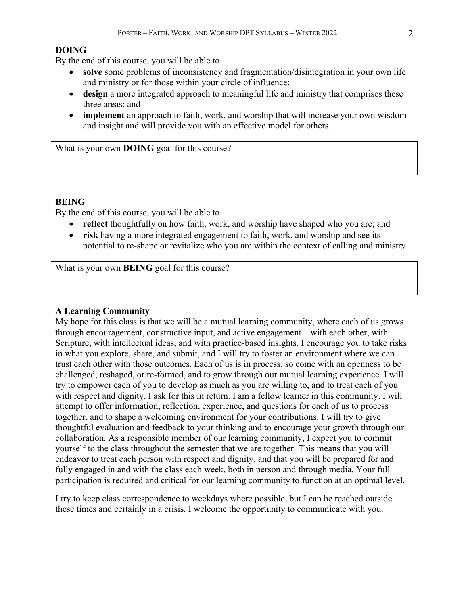#### **DOING**

By the end of this course, you will be able to

- **solve** some problems of inconsistency and fragmentation/disintegration in your own life and ministry or for those within your circle of influence;
- **design** a more integrated approach to meaningful life and ministry that comprises these three areas; and
- **implement** an approach to faith, work, and worship that will increase your own wisdom and insight and will provide you with an effective model for others.

What is your own **DOING** goal for this course?

### **BEING**

By the end of this course, you will be able to

- **reflect** thoughtfully on how faith, work, and worship have shaped who you are; and
- **risk** having a more integrated engagement to faith, work, and worship and see its potential to re-shape or revitalize who you are within the context of calling and ministry.

What is your own **BEING** goal for this course?

#### **A Learning Community**

My hope for this class is that we will be a mutual learning community, where each of us grows through encouragement, constructive input, and active engagement—with each other, with Scripture, with intellectual ideas, and with practice-based insights. I encourage you to take risks in what you explore, share, and submit, and I will try to foster an environment where we can trust each other with those outcomes. Each of us is in process, so come with an openness to be challenged, reshaped, or re-formed, and to grow through our mutual learning experience. I will try to empower each of you to develop as much as you are willing to, and to treat each of you with respect and dignity. I ask for this in return. I am a fellow learner in this community. I will attempt to offer information, reflection, experience, and questions for each of us to process together, and to shape a welcoming environment for your contributions. I will try to give thoughtful evaluation and feedback to your thinking and to encourage your growth through our collaboration. As a responsible member of our learning community, I expect you to commit yourself to the class throughout the semester that we are together. This means that you will endeavor to treat each person with respect and dignity, and that you will be prepared for and fully engaged in and with the class each week, both in person and through media. Your full participation is required and critical for our learning community to function at an optimal level.

I try to keep class correspondence to weekdays where possible, but I can be reached outside these times and certainly in a crisis. I welcome the opportunity to communicate with you.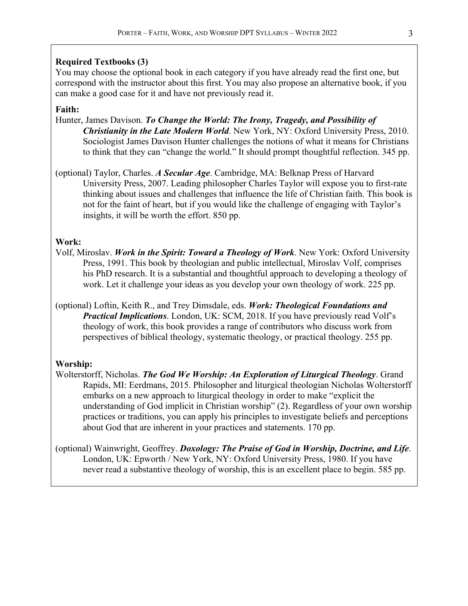#### **Required Textbooks (3)**

You may choose the optional book in each category if you have already read the first one, but correspond with the instructor about this first. You may also propose an alternative book, if you can make a good case for it and have not previously read it.

### **Faith:**

- Hunter, James Davison. *To Change the World: The Irony, Tragedy, and Possibility of Christianity in the Late Modern World*. New York, NY: Oxford University Press, 2010. Sociologist James Davison Hunter challenges the notions of what it means for Christians to think that they can "change the world." It should prompt thoughtful reflection. 345 pp.
- (optional) Taylor, Charles. *A Secular Age*. Cambridge, MA: Belknap Press of Harvard University Press, 2007. Leading philosopher Charles Taylor will expose you to first-rate thinking about issues and challenges that influence the life of Christian faith. This book is not for the faint of heart, but if you would like the challenge of engaging with Taylor's insights, it will be worth the effort. 850 pp.

#### **Work:**

- Volf, Miroslav. *Work in the Spirit: Toward a Theology of Work*. New York: Oxford University Press, 1991. This book by theologian and public intellectual, Miroslav Volf, comprises his PhD research. It is a substantial and thoughtful approach to developing a theology of work. Let it challenge your ideas as you develop your own theology of work. 225 pp.
- (optional) Loftin, Keith R., and Trey Dimsdale, eds. *Work: Theological Foundations and Practical Implications*. London, UK: SCM, 2018. If you have previously read Volf's theology of work, this book provides a range of contributors who discuss work from perspectives of biblical theology, systematic theology, or practical theology. 255 pp.

#### **Worship:**

- Wolterstorff, Nicholas. *The God We Worship: An Exploration of Liturgical Theology*. Grand Rapids, MI: Eerdmans, 2015. Philosopher and liturgical theologian Nicholas Wolterstorff embarks on a new approach to liturgical theology in order to make "explicit the understanding of God implicit in Christian worship" (2). Regardless of your own worship practices or traditions, you can apply his principles to investigate beliefs and perceptions about God that are inherent in your practices and statements. 170 pp.
- (optional) Wainwright, Geoffrey. *Doxology: The Praise of God in Worship, Doctrine, and Life*. London, UK: Epworth / New York, NY: Oxford University Press, 1980. If you have never read a substantive theology of worship, this is an excellent place to begin. 585 pp.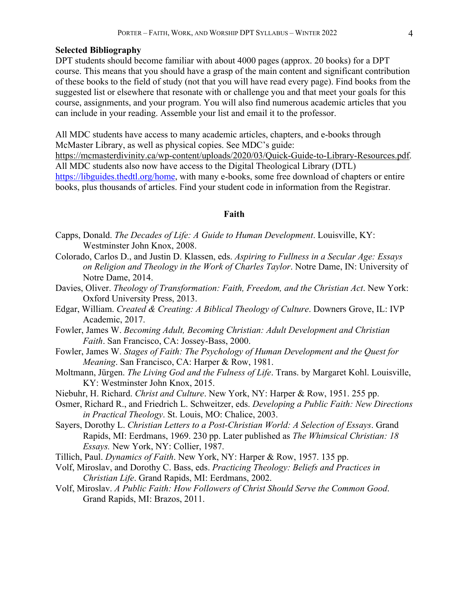#### **Selected Bibliography**

DPT students should become familiar with about 4000 pages (approx. 20 books) for a DPT course. This means that you should have a grasp of the main content and significant contribution of these books to the field of study (not that you will have read every page). Find books from the suggested list or elsewhere that resonate with or challenge you and that meet your goals for this course, assignments, and your program. You will also find numerous academic articles that you can include in your reading. Assemble your list and email it to the professor.

All MDC students have access to many academic articles, chapters, and e-books through McMaster Library, as well as physical copies. See MDC's guide: https://mcmasterdivinity.ca/wp-content/uploads/2020/03/Quick-Guide-to-Library-Resources.pdf. All MDC students also now have access to the Digital Theological Library (DTL) https://libguides.thedtl.org/home, with many e-books, some free download of chapters or entire books, plus thousands of articles. Find your student code in information from the Registrar.

#### **Faith**

- Capps, Donald. *The Decades of Life: A Guide to Human Development*. Louisville, KY: Westminster John Knox, 2008.
- Colorado, Carlos D., and Justin D. Klassen, eds. *Aspiring to Fullness in a Secular Age: Essays on Religion and Theology in the Work of Charles Taylor*. Notre Dame, IN: University of Notre Dame, 2014.
- Davies, Oliver. *Theology of Transformation: Faith, Freedom, and the Christian Act*. New York: Oxford University Press, 2013.
- Edgar, William. *Created & Creating: A Biblical Theology of Culture*. Downers Grove, IL: IVP Academic, 2017.
- Fowler, James W. *Becoming Adult, Becoming Christian: Adult Development and Christian Faith*. San Francisco, CA: Jossey-Bass, 2000.
- Fowler, James W. *Stages of Faith: The Psychology of Human Development and the Quest for Meaning*. San Francisco, CA: Harper & Row, 1981.
- Moltmann, Jürgen. *The Living God and the Fulness of Life*. Trans. by Margaret Kohl. Louisville, KY: Westminster John Knox, 2015.
- Niebuhr, H. Richard. *Christ and Culture*. New York, NY: Harper & Row, 1951. 255 pp.
- Osmer, Richard R., and Friedrich L. Schweitzer, eds. *Developing a Public Faith: New Directions in Practical Theology*. St. Louis, MO: Chalice, 2003.
- Sayers, Dorothy L. *Christian Letters to a Post-Christian World: A Selection of Essays*. Grand Rapids, MI: Eerdmans, 1969. 230 pp. Later published as *The Whimsical Christian: 18 Essays.* New York, NY: Collier, 1987.
- Tillich, Paul. *Dynamics of Faith*. New York, NY: Harper & Row, 1957. 135 pp.
- Volf, Miroslav, and Dorothy C. Bass, eds. *Practicing Theology: Beliefs and Practices in Christian Life*. Grand Rapids, MI: Eerdmans, 2002.
- Volf, Miroslav. *A Public Faith: How Followers of Christ Should Serve the Common Good*. Grand Rapids, MI: Brazos, 2011.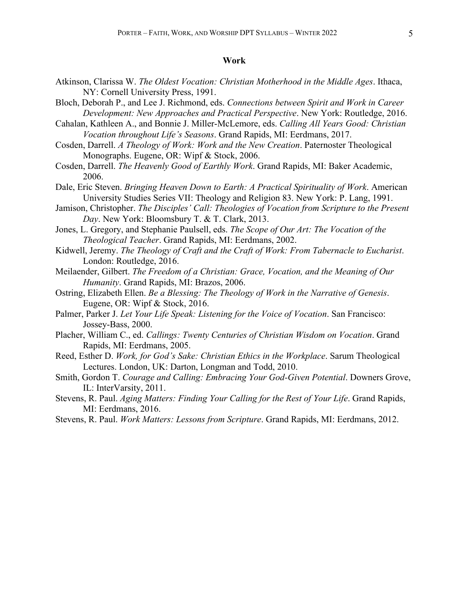#### **Work**

- Atkinson, Clarissa W. *The Oldest Vocation: Christian Motherhood in the Middle Ages*. Ithaca, NY: Cornell University Press, 1991.
- Bloch, Deborah P., and Lee J. Richmond, eds. *Connections between Spirit and Work in Career Development: New Approaches and Practical Perspective*. New York: Routledge, 2016.
- Cahalan, Kathleen A., and Bonnie J. Miller-McLemore, eds. *Calling All Years Good: Christian Vocation throughout Life's Seasons*. Grand Rapids, MI: Eerdmans, 2017.
- Cosden, Darrell. *A Theology of Work: Work and the New Creation*. Paternoster Theological Monographs. Eugene, OR: Wipf & Stock, 2006.
- Cosden, Darrell. *The Heavenly Good of Earthly Work*. Grand Rapids, MI: Baker Academic, 2006.
- Dale, Eric Steven. *Bringing Heaven Down to Earth: A Practical Spirituality of Work*. American University Studies Series VII: Theology and Religion 83. New York: P. Lang, 1991.
- Jamison, Christopher. *The Disciples' Call: Theologies of Vocation from Scripture to the Present Day*. New York: Bloomsbury T. & T. Clark, 2013.
- Jones, L. Gregory, and Stephanie Paulsell, eds. *The Scope of Our Art: The Vocation of the Theological Teacher*. Grand Rapids, MI: Eerdmans, 2002.
- Kidwell, Jeremy. *The Theology of Craft and the Craft of Work: From Tabernacle to Eucharist*. London: Routledge, 2016.
- Meilaender, Gilbert. *The Freedom of a Christian: Grace, Vocation, and the Meaning of Our Humanity*. Grand Rapids, MI: Brazos, 2006.
- Ostring, Elizabeth Ellen. *Be a Blessing: The Theology of Work in the Narrative of Genesis*. Eugene, OR: Wipf & Stock, 2016.
- Palmer, Parker J. *Let Your Life Speak: Listening for the Voice of Vocation*. San Francisco: Jossey-Bass, 2000.
- Placher, William C., ed. *Callings: Twenty Centuries of Christian Wisdom on Vocation*. Grand Rapids, MI: Eerdmans, 2005.
- Reed, Esther D. *Work, for God's Sake: Christian Ethics in the Workplace*. Sarum Theological Lectures. London, UK: Darton, Longman and Todd, 2010.
- Smith, Gordon T. *Courage and Calling: Embracing Your God-Given Potential*. Downers Grove, IL: InterVarsity, 2011.
- Stevens, R. Paul. *Aging Matters: Finding Your Calling for the Rest of Your Life*. Grand Rapids, MI: Eerdmans, 2016.
- Stevens, R. Paul. *Work Matters: Lessons from Scripture*. Grand Rapids, MI: Eerdmans, 2012.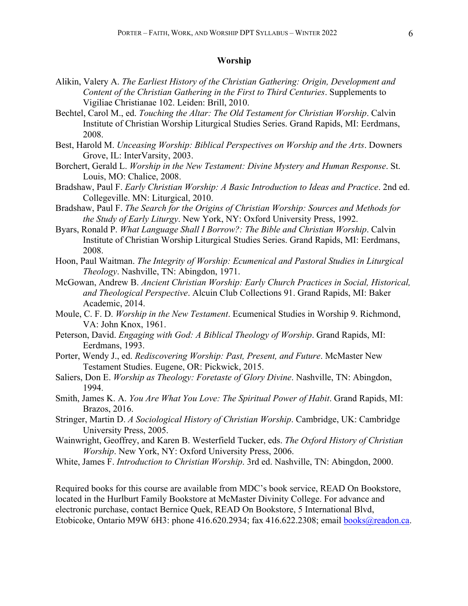#### **Worship**

- Alikin, Valery A. *The Earliest History of the Christian Gathering: Origin, Development and Content of the Christian Gathering in the First to Third Centuries*. Supplements to Vigiliae Christianae 102. Leiden: Brill, 2010.
- Bechtel, Carol M., ed. *Touching the Altar: The Old Testament for Christian Worship*. Calvin Institute of Christian Worship Liturgical Studies Series. Grand Rapids, MI: Eerdmans, 2008.
- Best, Harold M. *Unceasing Worship: Biblical Perspectives on Worship and the Arts*. Downers Grove, IL: InterVarsity, 2003.
- Borchert, Gerald L. *Worship in the New Testament: Divine Mystery and Human Response*. St. Louis, MO: Chalice, 2008.
- Bradshaw, Paul F. *Early Christian Worship: A Basic Introduction to Ideas and Practice*. 2nd ed. Collegeville. MN: Liturgical, 2010.
- Bradshaw, Paul F. *The Search for the Origins of Christian Worship: Sources and Methods for the Study of Early Liturgy*. New York, NY: Oxford University Press, 1992.
- Byars, Ronald P. *What Language Shall I Borrow?: The Bible and Christian Worship*. Calvin Institute of Christian Worship Liturgical Studies Series. Grand Rapids, MI: Eerdmans, 2008.
- Hoon, Paul Waitman. *The Integrity of Worship: Ecumenical and Pastoral Studies in Liturgical Theology*. Nashville, TN: Abingdon, 1971.
- McGowan, Andrew B. *Ancient Christian Worship: Early Church Practices in Social, Historical, and Theological Perspective*. Alcuin Club Collections 91. Grand Rapids, MI: Baker Academic, 2014.
- Moule, C. F. D. *Worship in the New Testament*. Ecumenical Studies in Worship 9. Richmond, VA: John Knox, 1961.
- Peterson, David. *Engaging with God: A Biblical Theology of Worship*. Grand Rapids, MI: Eerdmans, 1993.
- Porter, Wendy J., ed. *Rediscovering Worship: Past, Present, and Future*. McMaster New Testament Studies. Eugene, OR: Pickwick, 2015.
- Saliers, Don E. *Worship as Theology: Foretaste of Glory Divine*. Nashville, TN: Abingdon, 1994.
- Smith, James K. A. *You Are What You Love: The Spiritual Power of Habit*. Grand Rapids, MI: Brazos, 2016.
- Stringer, Martin D. *A Sociological History of Christian Worship*. Cambridge, UK: Cambridge University Press, 2005.
- Wainwright, Geoffrey, and Karen B. Westerfield Tucker, eds. *The Oxford History of Christian Worship*. New York, NY: Oxford University Press, 2006.
- White, James F. *Introduction to Christian Worship*. 3rd ed. Nashville, TN: Abingdon, 2000.

Required books for this course are available from MDC's book service, READ On Bookstore, located in the Hurlburt Family Bookstore at McMaster Divinity College. For advance and electronic purchase, contact Bernice Quek, READ On Bookstore, 5 International Blvd, Etobicoke, Ontario M9W 6H3: phone 416.620.2934; fax 416.622.2308; email books@readon.ca.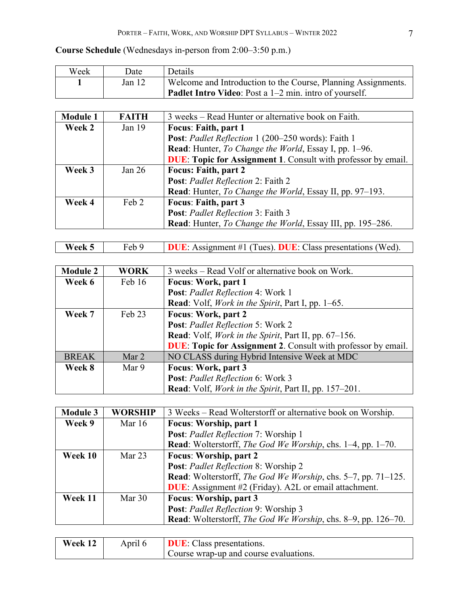### **Course Schedule** (Wednesdays in-person from 2:00–3:50 p.m.)

| Week | Date   | Details                                                       |
|------|--------|---------------------------------------------------------------|
|      | Jan 12 | Welcome and Introduction to the Course, Planning Assignments. |
|      |        | <b>Padlet Intro Video:</b> Post a 1–2 min. intro of yourself. |

| <b>Module 1</b> | <b>FAITH</b> | 3 weeks – Read Hunter or alternative book on Faith.                  |
|-----------------|--------------|----------------------------------------------------------------------|
| Week 2          | Jan $19$     | <b>Focus: Faith, part 1</b>                                          |
|                 |              | Post: Padlet Reflection 1 (200-250 words): Faith 1                   |
|                 |              | Read: Hunter, To Change the World, Essay I, pp. 1-96.                |
|                 |              | <b>DUE:</b> Topic for Assignment 1. Consult with professor by email. |
| Week 3          | Jan $26$     | <b>Focus: Faith, part 2</b>                                          |
|                 |              | Post: Padlet Reflection 2: Faith 2                                   |
|                 |              | Read: Hunter, To Change the World, Essay II, pp. 97–193.             |
| Week 4          | Feb 2        | Focus: Faith, part 3                                                 |
|                 |              | Post: Padlet Reflection 3: Faith 3                                   |
|                 |              | Read: Hunter, To Change the World, Essay III, pp. 195–286.           |

| <b>IDUE:</b> Assignment #1 (Tues). DUE: Class presentations (Wed).<br>Week 5 |  |
|------------------------------------------------------------------------------|--|

| <b>Module 2</b> | <b>WORK</b> | 3 weeks – Read Volf or alternative book on Work.                     |
|-----------------|-------------|----------------------------------------------------------------------|
| Week 6          | Feb 16      | Focus: Work, part 1                                                  |
|                 |             | Post: Padlet Reflection 4: Work 1                                    |
|                 |             | <b>Read:</b> Volf, <i>Work in the Spirit</i> , Part I, pp. 1–65.     |
| Week 7          | Feb 23      | Focus: Work, part 2                                                  |
|                 |             | Post: Padlet Reflection 5: Work 2                                    |
|                 |             | <b>Read:</b> Volf, <i>Work in the Spirit</i> , Part II, pp. 67–156.  |
|                 |             | <b>DUE:</b> Topic for Assignment 2. Consult with professor by email. |
| <b>BREAK</b>    | Mar 2       | NO CLASS during Hybrid Intensive Week at MDC                         |
| Week 8          | Mar 9       | Focus: Work, part 3                                                  |
|                 |             | Post: Padlet Reflection 6: Work 3                                    |
|                 |             | Read: Volf, Work in the Spirit, Part II, pp. 157-201.                |

| <b>Module 3</b> | <b>WORSHIP</b> | 3 Weeks – Read Wolterstorff or alternative book on Worship.                |
|-----------------|----------------|----------------------------------------------------------------------------|
| Week 9          | Mar 16         | <b>Focus: Worship, part 1</b>                                              |
|                 |                | Post: Padlet Reflection 7: Worship 1                                       |
|                 |                | <b>Read:</b> Wolterstorff, <i>The God We Worship</i> , chs. 1–4, pp. 1–70. |
| Week 10         | Mar $23$       | <b>Focus: Worship, part 2</b>                                              |
|                 |                | Post: Padlet Reflection 8: Worship 2                                       |
|                 |                | Read: Wolterstorff, The God We Worship, chs. 5–7, pp. 71–125.              |
|                 |                | <b>DUE:</b> Assignment #2 (Friday). A2L or email attachment.               |
| Week 11         | Mar $30$       | Focus: Worship, part 3                                                     |
|                 |                | Post: Padlet Reflection 9: Worship 3                                       |
|                 |                | Read: Wolterstorff, The God We Worship, chs. 8–9, pp. 126–70.              |

| Week 12 | Aprıl 6 | <b>DUE:</b> Class presentations.       |
|---------|---------|----------------------------------------|
|         |         | Course wrap-up and course evaluations. |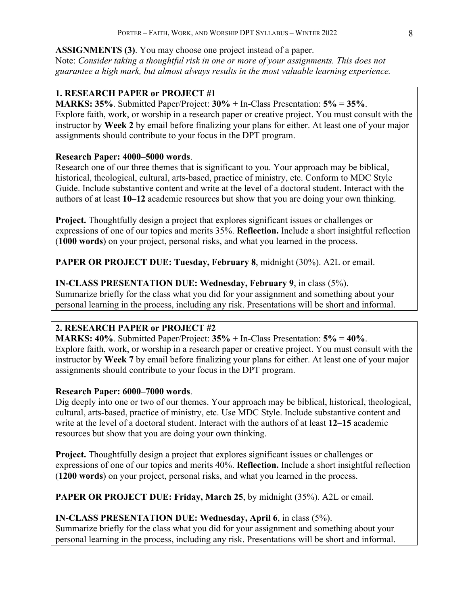**ASSIGNMENTS (3)**. You may choose one project instead of a paper. Note: *Consider taking a thoughtful risk in one or more of your assignments. This does not guarantee a high mark, but almost always results in the most valuable learning experience.*

### **1. RESEARCH PAPER or PROJECT #1**

**MARKS: 35%**. Submitted Paper/Project: **30% +** In-Class Presentation: **5%** = **35%**. Explore faith, work, or worship in a research paper or creative project. You must consult with the instructor by **Week 2** by email before finalizing your plans for either. At least one of your major assignments should contribute to your focus in the DPT program.

### **Research Paper: 4000–5000 words**.

Research one of our three themes that is significant to you. Your approach may be biblical, historical, theological, cultural, arts-based, practice of ministry, etc. Conform to MDC Style Guide. Include substantive content and write at the level of a doctoral student. Interact with the authors of at least **10–12** academic resources but show that you are doing your own thinking.

**Project.** Thoughtfully design a project that explores significant issues or challenges or expressions of one of our topics and merits 35%. **Reflection.** Include a short insightful reflection (**1000 words**) on your project, personal risks, and what you learned in the process.

**PAPER OR PROJECT DUE: Tuesday, February 8**, midnight (30%). A2L or email.

### **IN-CLASS PRESENTATION DUE: Wednesday, February 9**, in class (5%).

Summarize briefly for the class what you did for your assignment and something about your personal learning in the process, including any risk. Presentations will be short and informal.

### **2. RESEARCH PAPER or PROJECT #2**

**MARKS: 40%**. Submitted Paper/Project: **35% +** In-Class Presentation: **5%** = **40%**. Explore faith, work, or worship in a research paper or creative project. You must consult with the instructor by **Week 7** by email before finalizing your plans for either. At least one of your major assignments should contribute to your focus in the DPT program.

### **Research Paper: 6000–7000 words**.

Dig deeply into one or two of our themes. Your approach may be biblical, historical, theological, cultural, arts-based, practice of ministry, etc. Use MDC Style. Include substantive content and write at the level of a doctoral student. Interact with the authors of at least **12–15** academic resources but show that you are doing your own thinking.

**Project.** Thoughtfully design a project that explores significant issues or challenges or expressions of one of our topics and merits 40%. **Reflection.** Include a short insightful reflection (**1200 words**) on your project, personal risks, and what you learned in the process.

**PAPER OR PROJECT DUE: Friday, March 25**, by midnight (35%). A2L or email.

### **IN-CLASS PRESENTATION DUE: Wednesday, April 6**, in class (5%).

Summarize briefly for the class what you did for your assignment and something about your personal learning in the process, including any risk. Presentations will be short and informal.